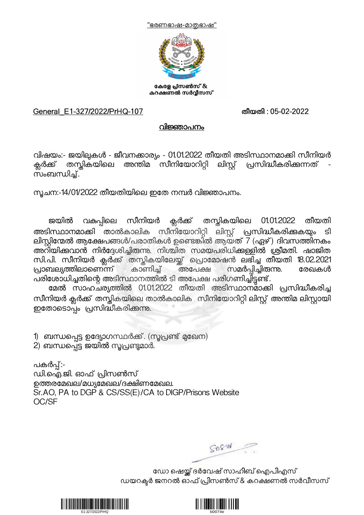"ഭരണഭാഷ-മാതഭാഷ"



കേരള പ്രസൺസ് & കറക്ഷണൽ സർവ്വീസസ്

## General\_E1-327/2022/PrHQ-107 തീയതി : 05-02-2022

## വിജ്ഞാപനം

വിഷയം:- ജയിലുകൾ - ജീവനക്കാര്യം - 01.01.2022 തീയതി അടിസ്ഥാനമാക്കി സീനിയർ<br>ക്ലർക്ക് തസ്കികയിലെ അന്തിമ സീനിയോറിറ്റി ലിസ്റ്റ് പ്രസിദ്ധീകരിക്കുന്നത് -ക്ലർക്ക് തസ്തികയിലെ അന്തിമ സീനിയോറിറ്റി ലിസ്റ്റ് പ്രസിദ്ധീകരിക്കുന്നത്<br>സംബന്ധിച്ച്.

സുചന:-14/01/2022 തീയതിയിലെ ഇതേ നമ്പർ വിജ്ഞാപനം.

ജയിൽ വകുപിലെ സീനിയർ ക്ലർക്ക് തസ്കികയിലെ 01.01.2022 തീയതി അടിസ്ഥാനമാക്കി താൽകാലിക സീനിയോറിറ്റി ലിസ്റ്റ് പ്രസിദ്ധീകരിക്കുകയും ടി<br>ലിസ്റ്റിന്മേൽത്തുക്ഷേപങ്ങൾ/പരാതികൾ ഉണ്ടെങ്കിൽ ആയത് 7 (ഏഴ്) ദിവസത്തിനകം അറിയിക്കവാൻ നിർദ്ദേശിച്ചിരുന്നു. നിശ്ചിത സമയപരിധിക്കള്ളിൽ ശ്രീമതി. ഷാജിത സി.പി. സീനിയർ ക്ലർക്ക് തസ്തികയിലേയ്ക്ക് പ്രൊമോഷൻ ലഭിച്ച തീയതി 18.02.2021<br>പ്രാബല്യത്തിലാണെന്ന് കാണിച്ച് അപേക്ഷ സമർപ്പിച്ചിരുന്ന്മ. രേഖകൾ പ്രാബല്യത്തിലാണെന്ന് കാണിച്ച് അപേക്ഷ സമർപ്പിച്ചിരുന്നു. രേഖകൾ പരിശോധിച്ചതിന്റെ അടിസ്ഥാനത്തിൽ ടി അപേക്ഷ പരിഗണിച്ചിട്ടണ്ട്.

മേൽ സാഹചര്യത്തിൽ 01.01.2022 തീയതി അടിസ്ഥാനമാക്കി പ്രസിദ്ധീകരിച്ച സീനിയർ ക്ലർക്ക് തസ്തികയിലെ താൽകാലിക സീനിയോറിറ്റി ലിസ്റ്റ് അന്തിമ ലിസ്റ്റായി ഇതോടൊപ്പം പ്രസിദ്ധീകരിക്കുന്നു.

1) ബന്ധപ്പെട്ട ഉദ്യോഗസ്ഥർക്ക്. (സൂപ്രണ്ട് മുഖേന)

2) ബന്ധപ്പെട്ട ജയിൽ സൂപ്രണ്ടുമാർ.

പകർപ്പ്:-<br>ഡി.ഐ.ജി. ഓഫ് പ്രിസൺസ് ഉത്തരമേഖല/മധ്യമേഖല/ദക്ഷിണമേഖല. Sr.AO, PA to DGP & CS/SS(E)/CA to DIGP/Prisons Website OC/SF

GOSW

ഡോ ഷെയ്ക് ദർവേഷ് സാഹിബ് ഐപിഎസ് ഡയറക്ടർ ജനറൽ ഓഫ് പ്രിസൺസ് & കറക്ഷണൽ സർവീസസ്



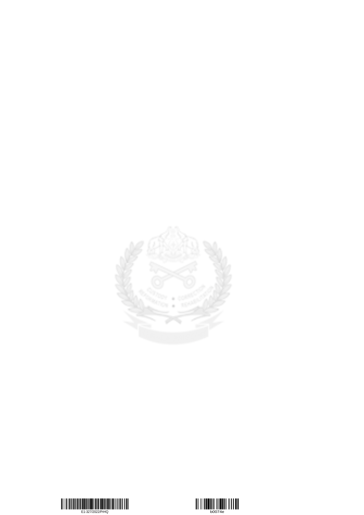



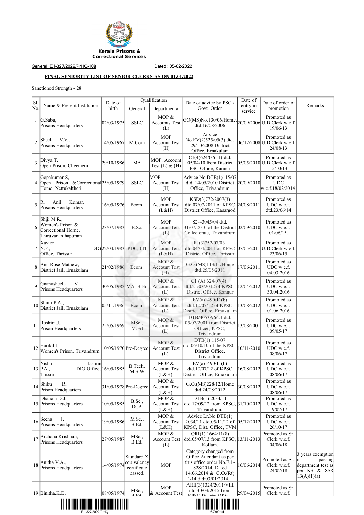

General\_E1-327/2022/PrHQ-108 Dated : 05-02-2022

## **FINAL SENIORITY LIST OF SENIOR CLERKS AS ON 01.01.2022**

Sanctioned Strength - 28

| S1.                                             |                                                                              | Date of                 |                                                                  | Qualification                              | Date of advice by PSC /                                                                                                                             | Date of             | Date of order of                                       |                                                                                              |  |  |
|-------------------------------------------------|------------------------------------------------------------------------------|-------------------------|------------------------------------------------------------------|--------------------------------------------|-----------------------------------------------------------------------------------------------------------------------------------------------------|---------------------|--------------------------------------------------------|----------------------------------------------------------------------------------------------|--|--|
| No.                                             | Name & Present Institution                                                   | birth                   | General                                                          | Departmental                               | Govt. Order                                                                                                                                         | entry in<br>service | promotion                                              | Remarks                                                                                      |  |  |
| 1                                               | G.Sabu,<br>Prisons Headquarters                                              | 02/03/1975              | <b>SSLC</b>                                                      | MOP $&$<br><b>Accounts Test</b><br>(L)     | GO(MS)No.130/06/Home, $20/09/2006$ U.D.Clerk w.e.f.<br>dtd.16/08/2006                                                                               |                     | Promoted as<br>19/06/13                                |                                                                                              |  |  |
|                                                 | Sheela V.V.,<br>Prisons Headquarters                                         | 14/05/1967              | M.Com                                                            | <b>MOP</b><br><b>Account Test</b><br>(H)   | Advice<br>No.EV(2)525/05(3) dtd.<br>29/10/2008 District<br>Office, Ernakulam                                                                        |                     | Promoted as<br>06/12/2008 U.D.Clerk w.e.f.<br>24/08/13 |                                                                                              |  |  |
| 3                                               | Divya T,<br>Open Prison, Cheemeni                                            | 29/10/1986              | МA                                                               | MOP, Account<br>Test $(L)$ & $(H)$         | $C1(4)624/07(11)$ dtd.<br>05/04/10 from District<br>PSC Office, Kannur                                                                              |                     | Promoted as<br>05/05/2010 U.D.Clerk w.e.f.<br>15/10/13 |                                                                                              |  |  |
| 4                                               | Gopakumar S,<br>Open Prison & Correctional 25/05/1979<br>Home, Nettukaltheri |                         | <b>SSLC</b>                                                      | MOP<br><b>Account Test</b><br>(H)          | Advice No.DTB(1)115/07<br>dtd. 14/05/2010 District 20/09/2010<br>Office, Trivandrum                                                                 |                     | Promoted as<br><b>UDC</b><br>w.e.f.18/02/2014          |                                                                                              |  |  |
| 5                                               | Anil<br>Kumar,<br>R.<br>Prisons Headquarters                                 | 16/05/1976              | Bcom.                                                            | <b>MOP</b><br><b>Account Test</b><br>(L&H) | KSD(3)772/2007(3)<br>dtd.07/07/2011 of KPSC 24/08/2011<br>District Office, Kasargod                                                                 |                     | Promoted as<br>UDC w.e.f.<br>dtd.23/06/14              |                                                                                              |  |  |
| 6                                               | Shiji M.R.,<br>Women's Prison &<br>Correctional Home,<br>Thiruvananthapuram  | 23/07/1983              | B.Sc.                                                            | <b>MOP</b><br><b>Account Test</b><br>(L)   | S2-43045/04 dtd.<br>31/07/2010 of the District 02/09/2010<br>Collectorate, Trivandrum                                                               |                     | Promoted as<br>UDC w.e.f.<br>$01/06/15$ .              |                                                                                              |  |  |
| 7                                               | Xavier<br>N.F.,<br>Office, Thrissur                                          | DIG 22/04/1983 PDC, ITI |                                                                  | <b>MOP</b><br><b>Account Test</b><br>(L&H) | RI(3)752/07/03<br>dtd.04/04/2011 of KPSC<br>District Office, Thrissur                                                                               |                     | Promoted as<br>07/05/2011 U.D.Clerk w.e.f.<br>23/06/15 |                                                                                              |  |  |
| 8                                               | Ann Rose Mathew,<br>District Jail, Ernakulam                                 | 21/02/1986              | Bcom.                                                            | $MOP$ &<br><b>Account Test</b><br>(H)      | G.O.(MS)113/11/Home<br>dtd.25/05/2011                                                                                                               | 17/06/2011          | Promoted as<br>UDC w.e.f.<br>04.03.2016                |                                                                                              |  |  |
| 9                                               | Gnanasheela<br>V.<br>Prisons Headquarters                                    |                         | 30/05/1982 MA, B.Ed.                                             | MOP &<br><b>Account Test</b><br>(L)        | C1(A) 624/07(4)<br>dtd.21/03/2012 of KPSC,<br>District Office, Kannur                                                                               | 12/04/2012          | Promoted as<br>UDC w.e.f.<br>30.04.2016                |                                                                                              |  |  |
| 10                                              | Shimi P.A.,<br>District Jail, Ernakulam                                      | 05/11/1986              | Bcom.                                                            | MOP &<br><b>Account Test</b><br>(L)        | EV(a)1490/11(b)<br>dtd.10/07/12 of KPSC<br>District Office, Ernakulam                                                                               | 13/08/2012          | Promoted as<br>UDC w.e.f.<br>01.06.2016                |                                                                                              |  |  |
| 11                                              | Roshini.J.,<br>Prison Headquarters                                           | 25/05/1969              | MSc.,<br>M.Ed                                                    | $MOP$ &<br><b>Account Test</b><br>(L)      | DTB/4053/96/24 dtd.<br>05/07/2001 from District<br>Officer, KPSC,<br>Trivandrum                                                                     | 13/08/2001          | Promoted as<br>UDC w.e.f.<br>09/05/17                  |                                                                                              |  |  |
| 12                                              | Harilal L,<br>Women's Prison, Trivandrum                                     |                         | 10/05/1970 Pre-Degree                                            | MOP $&$<br><b>Account Test</b><br>(L)      | DTB(1) 115/07<br>dtd.06/10/10 of the KPSC,<br>District Office,<br>Trivandrum                                                                        | 10/11/2010          | Promoted as<br>UDC w.e.f.<br>08/06/17                  |                                                                                              |  |  |
|                                                 | Nisha<br>Jasmin<br>13 P.A.,<br>DIG Office, 16/05/1985<br>Trissur             |                         | B Tech,<br>M.S.W                                                 | MOP $&$<br><b>Account Test</b><br>(L&H)    | EV(a)1490/11(b)<br>dtd.10/07/12 of KPSC<br>District Office, Ernakulam                                                                               | 16/08/2012          | Promoted as<br>UDC w.e.f.<br>08/06/17                  |                                                                                              |  |  |
| 14                                              | Shibu<br>R,<br>Prison Headquarters                                           |                         | $31/05/1978$ Pre-Degree                                          | MOP $&$<br><b>Account Test</b><br>(L&H)    | G.O.(MS)228/12/Home<br>dtd.24/08/2012                                                                                                               | 30/08/2012          | Promoted as<br>UDC w.e.f.<br>08/06/17                  |                                                                                              |  |  |
|                                                 | Dhanaja D.J.,<br>15 Prisons Headquarters                                     | 10/05/1985              | <b>B.Sc.,</b><br><b>DCA</b>                                      | MOP $&$<br><b>Account Test</b><br>(L&H)    | DTB(1) 2034/11<br>dtd.17/09/12 from KPSC, 31/10/2012<br>Trivandrum.                                                                                 |                     | Promoted as<br>UDC w.e.f.<br>19/07/17                  |                                                                                              |  |  |
| 16                                              | J,<br>Seena<br>Prisons Headquarters                                          | 19/05/1986              | M Sc.,<br>B.Ed.                                                  | MOP $&$<br><b>Account Test</b><br>(L&H)    | Advice Lr.No.DTB(1)<br>2034/11 dtd.05/11/12 of  05/12/2012 <br>KPSC, Dist. Office, TVM                                                              |                     | Promoted as<br>UDC w.e.f.<br>26/10/17                  |                                                                                              |  |  |
| 17                                              | Archana Krishnan,<br>Prisons Headquarters                                    | 27/05/1987              | MSc.,<br>B.Ed.                                                   | MOP $&$<br><b>Account Test</b><br>(L)      | ORI(1) 1664/11(8)<br>dtd.05/07/13 from KPSC, 13/11/2013<br>Kollam.                                                                                  |                     | Promoted as Sr.<br>Clerk w.e.f.<br>04/06/18            |                                                                                              |  |  |
|                                                 | $18 \big _{\mathbf{R}}$ Anitha V.A.,<br>Prisons Headquarters                 |                         | Standard X<br>$14/05/1974$ equivalency<br>certificate<br>passed. | <b>MOP</b>                                 | Category changed from<br>Office Attendant as per<br>this office order No.E.1-<br>828/2014, Dated<br>14.06.2014 & G.O.(Rt)<br>$1/14$ dtd:03/01/2014. | 16/06/2014          | Promoted as Sr.<br>Clerk w.e.f.<br>24/07/18            | 3 years exemption<br>passing<br>$\ln$<br>department test as<br>per KS $&$ SSR<br>13(A)(1)(a) |  |  |
|                                                 | 19 Binitha.K.B.                                                              | 08/05/1974              | MSc.,<br>D E4                                                    | <b>MOP</b><br>& Account Test               | ARII(3)1324/2011/VIII<br>dtd:30/03/2015 from                                                                                                        | 29/04/2015          | Promoted as Sr.<br>Clerk w.e.f.                        |                                                                                              |  |  |
| <u> III Martin Martin III Martin </u><br>67a0c4 |                                                                              |                         |                                                                  |                                            |                                                                                                                                                     |                     |                                                        |                                                                                              |  |  |